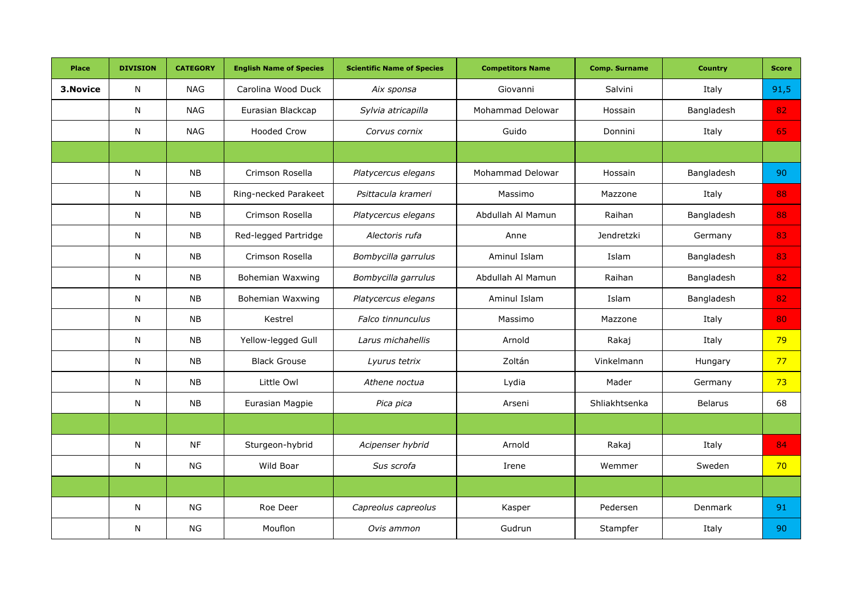| <b>Place</b> | <b>DIVISION</b> | <b>CATEGORY</b> | <b>English Name of Species</b> | <b>Scientific Name of Species</b> | <b>Competitors Name</b> | <b>Comp. Surname</b> | <b>Country</b> | <b>Score</b> |
|--------------|-----------------|-----------------|--------------------------------|-----------------------------------|-------------------------|----------------------|----------------|--------------|
| 3. Novice    | $\mathsf{N}$    | <b>NAG</b>      | Carolina Wood Duck             | Aix sponsa                        | Giovanni                | Salvini              | Italy          | 91,5         |
|              | N               | <b>NAG</b>      | Eurasian Blackcap              | Sylvia atricapilla                | Mohammad Delowar        | Hossain              | Bangladesh     | 82           |
|              | N               | <b>NAG</b>      | <b>Hooded Crow</b>             | Corvus cornix                     | Guido                   | Donnini              | Italy          | 65           |
|              |                 |                 |                                |                                   |                         |                      |                |              |
|              | N               | <b>NB</b>       | Crimson Rosella                | Platycercus elegans               | Mohammad Delowar        | Hossain              | Bangladesh     | 90           |
|              | $\mathsf{N}$    | NB              | Ring-necked Parakeet           | Psittacula krameri                | Massimo                 | Mazzone              | Italy          | 88           |
|              | N               | NB              | Crimson Rosella                | Platycercus elegans               | Abdullah Al Mamun       | Raihan               | Bangladesh     | 88           |
|              | N               | <b>NB</b>       | Red-legged Partridge           | Alectoris rufa                    | Anne                    | Jendretzki           | Germany        | 83           |
|              | N               | <b>NB</b>       | Crimson Rosella                | Bombycilla garrulus               | Aminul Islam            | Islam                | Bangladesh     | 83           |
|              | N               | NB              | Bohemian Waxwing               | Bombycilla garrulus               | Abdullah Al Mamun       | Raihan               | Bangladesh     | 82           |
|              | N               | <b>NB</b>       | Bohemian Waxwing               | Platycercus elegans               | Aminul Islam            | Islam                | Bangladesh     | 82           |
|              | $\mathsf{N}$    | NB              | Kestrel                        | Falco tinnunculus                 | Massimo                 | Mazzone              | Italy          | 80           |
|              | N               | <b>NB</b>       | Yellow-legged Gull             | Larus michahellis                 | Arnold                  | Rakaj                | Italy          | 79           |
|              | $\mathsf{N}$    | <b>NB</b>       | <b>Black Grouse</b>            | Lyurus tetrix                     | Zoltán                  | Vinkelmann           | Hungary        | 77           |
|              | $\mathsf{N}$    | ${\sf NB}$      | Little Owl                     | Athene noctua                     | Lydia                   | Mader                | Germany        | 73           |
|              | N               | NB              | Eurasian Magpie                | Pica pica                         | Arseni                  | Shliakhtsenka        | Belarus        | 68           |
|              |                 |                 |                                |                                   |                         |                      |                |              |
|              | N               | <b>NF</b>       | Sturgeon-hybrid                | Acipenser hybrid                  | Arnold                  | Rakaj                | Italy          | 84           |
|              | N               | <b>NG</b>       | Wild Boar                      | Sus scrofa                        | Irene                   | Wemmer               | Sweden         | 70           |
|              |                 |                 |                                |                                   |                         |                      |                |              |
|              | N               | <b>NG</b>       | Roe Deer                       | Capreolus capreolus               | Kasper                  | Pedersen             | Denmark        | 91           |
|              | N               | <b>NG</b>       | Mouflon                        | Ovis ammon                        | Gudrun                  | Stampfer             | Italy          | 90           |